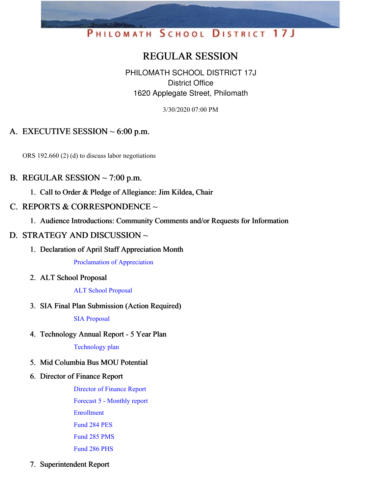# PHILOMATH SCHOOL DISTRICT 17J

## REGULAR SESSION

PHILOMATH SCHOOL DISTRICT 17J District Office 1620 Applegate Street, Philomath

3/30/2020 07:00 PM

### A. EXECUTIVE SESSION  $\sim$  6:00 p.m.

ORS 192.660 (2) (d) to discuss labor negotiations

#### B. REGULAR SESSION  $\sim$  7:00 p.m.

1. Call to Order & Pledge of Allegiance: Jim Kildea, Chair

#### C. REPORTS & CORRESPONDENCE  $\sim$

1. Audience Introductions: Community Comments and/or Requests for Information

#### D. STRATEGY AND DISCUSSION ~

1. Declaration of April Staff Appreciation Month

[Proclamation](https://app.eduportal.com/documents/view/747659) of Appreciation

2. ALT School Proposal

#### ALT School [Proposal](https://app.eduportal.com/documents/view/747569)

3. SIA Final Plan Submission (Action Required)

SIA [Proposal](https://app.eduportal.com/documents/view/749113)

4. Technology Annual Report - 5 Year Plan

[Technology](https://app.eduportal.com/documents/view/747513) plan

- 5. Mid Columbia Bus MOU Potential
- 6. Director of Finance Report

[Director](https://app.eduportal.com/documents/view/747510) of Finance Report Forecast 5 - [Monthly](https://app.eduportal.com/documents/view/747514) report [Enrollment](https://app.eduportal.com/documents/view/747505) [Fund](https://app.eduportal.com/documents/view/747508) 284 PES [Fund](https://app.eduportal.com/documents/view/747507) 285 PMS [Fund](https://app.eduportal.com/documents/view/747509) 286 PHS

7. Superintendent Report